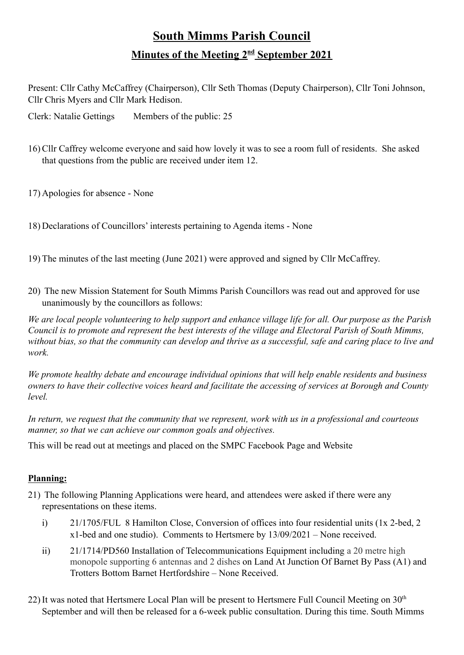## **South Mimms Parish Council Minutes of the Meeting 2 nd September 2021**

Present: Cllr Cathy McCaffrey (Chairperson), Cllr Seth Thomas (Deputy Chairperson), Cllr Toni Johnson, Cllr Chris Myers and Cllr Mark Hedison.

Clerk: Natalie Gettings Members of the public: 25

- 16) Cllr Caffrey welcome everyone and said how lovely it was to see a room full of residents. She asked that questions from the public are received under item 12.
- 17) Apologies for absence None
- 18) Declarations of Councillors' interests pertaining to Agenda items None
- 19) The minutes of the last meeting (June 2021) were approved and signed by Cllr McCaffrey.
- 20) The new Mission Statement for South Mimms Parish Councillors was read out and approved for use unanimously by the councillors as follows:

*We are local people volunteering to help support and enhance village life for all. Our purpose as the Parish Council is to promote and represent the best interests of the village and Electoral Parish of South Mimms, without bias, so that the community can develop and thrive as a successful, safe and caring place to live and work.*

*We promote healthy debate and encourage individual opinions that will help enable residents and business owners to have their collective voices heard and facilitate the accessing of services at Borough and County level.*

*In return, we request that the community that we represent, work with us in a professional and courteous manner, so that we can achieve our common goals and objectives.*

This will be read out at meetings and placed on the SMPC Facebook Page and Website

## **Planning:**

- 21) The following Planning Applications were heard, and attendees were asked if there were any representations on these items.
	- i) 21/1705/FUL 8 Hamilton Close, Conversion of offices into four residential units (1x 2-bed, 2 x1-bed and one studio). Comments to Hertsmere by 13/09/2021 – None received.
	- ii) 21/1714/PD560 Installation of Telecommunications Equipment including a 20 metre high monopole supporting 6 antennas and 2 dishes on Land At Junction Of Barnet By Pass (A1) and Trotters Bottom Barnet Hertfordshire – None Received.
- 22) It was noted that Hertsmere Local Plan will be present to Hertsmere Full Council Meeting on 30<sup>th</sup> September and will then be released for a 6-week public consultation. During this time. South Mimms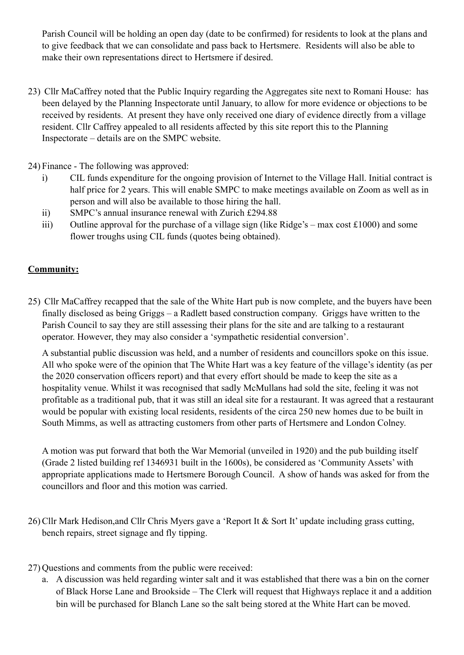Parish Council will be holding an open day (date to be confirmed) for residents to look at the plans and to give feedback that we can consolidate and pass back to Hertsmere. Residents will also be able to make their own representations direct to Hertsmere if desired.

- 23) Cllr MaCaffrey noted that the Public Inquiry regarding the Aggregates site next to Romani House: has been delayed by the Planning Inspectorate until January, to allow for more evidence or objections to be received by residents. At present they have only received one diary of evidence directly from a village resident. Cllr Caffrey appealed to all residents affected by this site report this to the Planning Inspectorate – details are on the SMPC website.
- 24) Finance The following was approved:
	- i) CIL funds expenditure for the ongoing provision of Internet to the Village Hall. Initial contract is half price for 2 years. This will enable SMPC to make meetings available on Zoom as well as in person and will also be available to those hiring the hall.
	- ii) SMPC's annual insurance renewal with Zurich £294.88
	- iii) Outline approval for the purchase of a village sign (like Ridge's max cost £1000) and some flower troughs using CIL funds (quotes being obtained).

## **Community:**

25) Cllr MaCaffrey recapped that the sale of the White Hart pub is now complete, and the buyers have been finally disclosed as being Griggs – a Radlett based construction company. Griggs have written to the Parish Council to say they are still assessing their plans for the site and are talking to a restaurant operator. However, they may also consider a 'sympathetic residential conversion'.

A substantial public discussion was held, and a number of residents and councillors spoke on this issue. All who spoke were of the opinion that The White Hart was a key feature of the village's identity (as per the 2020 conservation officers report) and that every effort should be made to keep the site as a hospitality venue. Whilst it was recognised that sadly McMullans had sold the site, feeling it was not profitable as a traditional pub, that it was still an ideal site for a restaurant. It was agreed that a restaurant would be popular with existing local residents, residents of the circa 250 new homes due to be built in South Mimms, as well as attracting customers from other parts of Hertsmere and London Colney.

A motion was put forward that both the War Memorial (unveiled in 1920) and the pub building itself (Grade 2 listed building ref 1346931 built in the 1600s), be considered as 'Community Assets' with appropriate applications made to Hertsmere Borough Council. A show of hands was asked for from the councillors and floor and this motion was carried.

- 26) Cllr Mark Hedison,and Cllr Chris Myers gave a 'Report It & Sort It' update including grass cutting, bench repairs, street signage and fly tipping.
- 27) Questions and comments from the public were received:
	- a. A discussion was held regarding winter salt and it was established that there was a bin on the corner of Black Horse Lane and Brookside – The Clerk will request that Highways replace it and a addition bin will be purchased for Blanch Lane so the salt being stored at the White Hart can be moved.